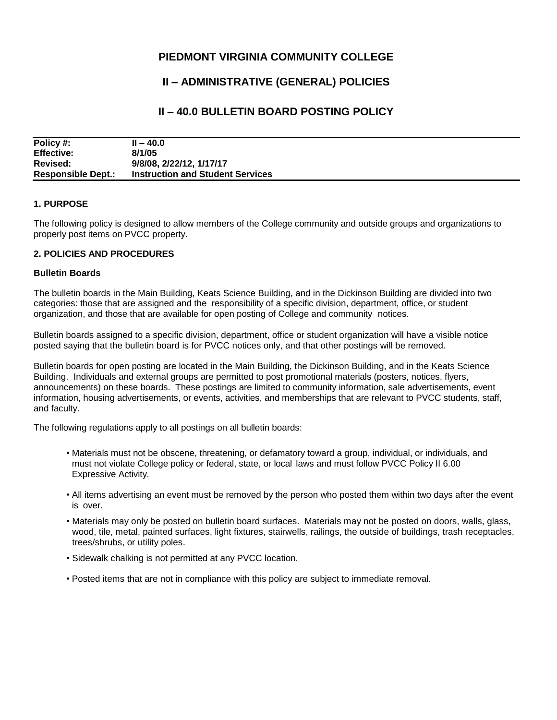## **PIEDMONT VIRGINIA COMMUNITY COLLEGE**

# **II – ADMINISTRATIVE (GENERAL) POLICIES**

### **II – 40.0 BULLETIN BOARD POSTING POLICY**

| Policy #:                 | $II - 40.0$                             |
|---------------------------|-----------------------------------------|
| <b>Effective:</b>         | 8/1/05                                  |
| <b>Revised:</b>           | 9/8/08, 2/22/12, 1/17/17                |
| <b>Responsible Dept.:</b> | <b>Instruction and Student Services</b> |

#### **1. PURPOSE**

The following policy is designed to allow members of the College community and outside groups and organizations to properly post items on PVCC property.

#### **2. POLICIES AND PROCEDURES**

#### **Bulletin Boards**

The bulletin boards in the Main Building, Keats Science Building, and in the Dickinson Building are divided into two categories: those that are assigned and the responsibility of a specific division, department, office, or student organization, and those that are available for open posting of College and community notices.

Bulletin boards assigned to a specific division, department, office or student organization will have a visible notice posted saying that the bulletin board is for PVCC notices only, and that other postings will be removed.

Bulletin boards for open posting are located in the Main Building, the Dickinson Building, and in the Keats Science Building. Individuals and external groups are permitted to post promotional materials (posters, notices, flyers, announcements) on these boards. These postings are limited to community information, sale advertisements, event information, housing advertisements, or events, activities, and memberships that are relevant to PVCC students, staff, and faculty.

The following regulations apply to all postings on all bulletin boards:

- Materials must not be obscene, threatening, or defamatory toward a group, individual, or individuals, and must not violate College policy or federal, state, or local laws and must follow PVCC Policy II 6.00 Expressive Activity.
- All items advertising an event must be removed by the person who posted them within two days after the event is over.
- Materials may only be posted on bulletin board surfaces. Materials may not be posted on doors, walls, glass, wood, tile, metal, painted surfaces, light fixtures, stairwells, railings, the outside of buildings, trash receptacles, trees/shrubs, or utility poles.
- Sidewalk chalking is not permitted at any PVCC location.
- Posted items that are not in compliance with this policy are subject to immediate removal.